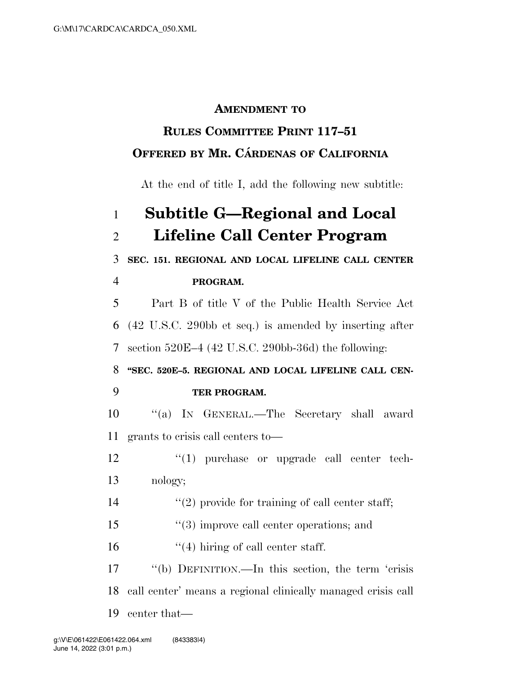## **AMENDMENT TO**

## **RULES COMMITTEE PRINT 117–51 OFFERED BY MR. CÁRDENAS OF CALIFORNIA**

At the end of title I, add the following new subtitle:

| $\mathbf{1}$   | <b>Subtitle G-Regional and Local</b>                         |
|----------------|--------------------------------------------------------------|
| $\overline{2}$ | Lifeline Call Center Program                                 |
| 3              | SEC. 151. REGIONAL AND LOCAL LIFELINE CALL CENTER            |
| $\overline{4}$ | PROGRAM.                                                     |
| 5              | Part B of title V of the Public Health Service Act           |
| 6              | (42 U.S.C. 290bb et seq.) is amended by inserting after      |
| 7              | section $520E-4$ (42 U.S.C. 290bb-36d) the following:        |
| 8              | "SEC. 520E-5. REGIONAL AND LOCAL LIFELINE CALL CEN-          |
| 9              | TER PROGRAM.                                                 |
| 10             | "(a) IN GENERAL.—The Secretary shall award                   |
| 11             | grants to crisis call centers to-                            |
| 12             | $\lq(1)$ purchase or upgrade call center tech-               |
| 13             | nology;                                                      |
| 14             | $\lq(2)$ provide for training of call center staff;          |
| 15             | $\lq(3)$ improve call center operations; and                 |
| 16             | $\lq(4)$ hiring of call center staff.                        |
| 17             | "(b) DEFINITION.—In this section, the term 'crisis           |
| 18             | call center' means a regional clinically managed crisis call |
| 19             | center that—                                                 |